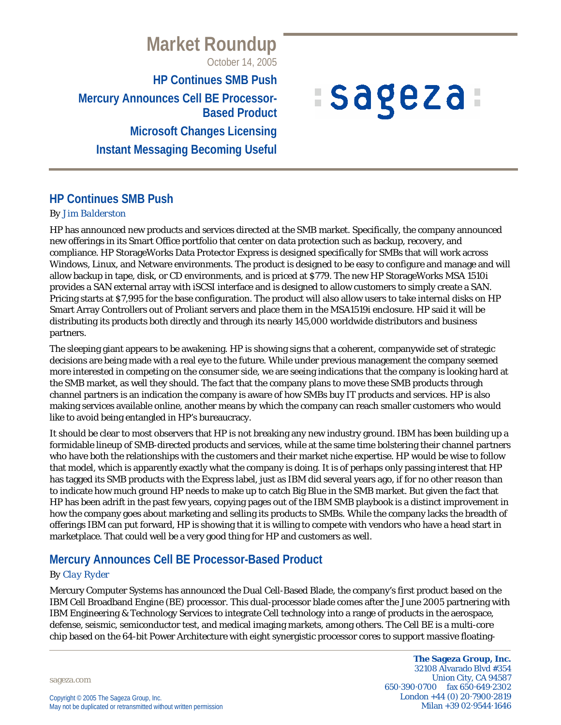## **Market Roundup** October 14, 2005

**HP Continues SMB Push Mercury Announces Cell BE Processor-Based Product Microsoft Changes Licensing Instant Messaging Becoming Useful**

# *ISageza*

## **HP Continues SMB Push**

#### *By Jim Balderston*

HP has announced new products and services directed at the SMB market. Specifically, the company announced new offerings in its Smart Office portfolio that center on data protection such as backup, recovery, and compliance. HP StorageWorks Data Protector Express is designed specifically for SMBs that will work across Windows, Linux, and Netware environments. The product is designed to be easy to configure and manage and will allow backup in tape, disk, or CD environments, and is priced at \$779. The new HP StorageWorks MSA 1510i provides a SAN external array with iSCSI interface and is designed to allow customers to simply create a SAN. Pricing starts at \$7,995 for the base configuration. The product will also allow users to take internal disks on HP Smart Array Controllers out of Proliant servers and place them in the MSA1519i enclosure. HP said it will be distributing its products both directly and through its nearly 145,000 worldwide distributors and business partners.

The sleeping giant appears to be awakening. HP is showing signs that a coherent, companywide set of strategic decisions are being made with a real eye to the future. While under previous management the company seemed more interested in competing on the consumer side, we are seeing indications that the company is looking hard at the SMB market, as well they should. The fact that the company plans to move these SMB products through channel partners is an indication the company is aware of how SMBs buy IT products and services. HP is also making services available online, another means by which the company can reach smaller customers who would like to avoid being entangled in HP's bureaucracy.

It should be clear to most observers that HP is not breaking any new industry ground. IBM has been building up a formidable lineup of SMB-directed products and services, while at the same time bolstering their channel partners who have both the relationships with the customers and their market niche expertise. HP would be wise to follow that model, which is apparently exactly what the company is doing. It is of perhaps only passing interest that HP has tagged its SMB products with the Express label, just as IBM did several years ago, if for no other reason than to indicate how much ground HP needs to make up to catch Big Blue in the SMB market. But given the fact that HP has been adrift in the past few years, copying pages out of the IBM SMB playbook is a distinct improvement in how the company goes about marketing and selling its products to SMBs. While the company lacks the breadth of offerings IBM can put forward, HP is showing that it is willing to compete with vendors who have a head start in marketplace. That could well be a very good thing for HP and customers as well.

## **Mercury Announces Cell BE Processor-Based Product**

#### *By Clay Ryder*

Mercury Computer Systems has announced the Dual Cell-Based Blade, the company's first product based on the IBM Cell Broadband Engine (BE) processor. This dual-processor blade comes after the June 2005 partnering with IBM Engineering & Technology Services to integrate Cell technology into a range of products in the aerospace, defense, seismic, semiconductor test, and medical imaging markets, among others. The Cell BE is a multi-core chip based on the 64-bit Power Architecture with eight synergistic processor cores to support massive floating-

sageza.com

**The Sageza Group, Inc.** 32108 Alvarado Blvd #354 Union City, CA 94587 650·390·0700 fax 650·649·2302 London +44 (0) 20·7900·2819 Milan +39 02·9544·1646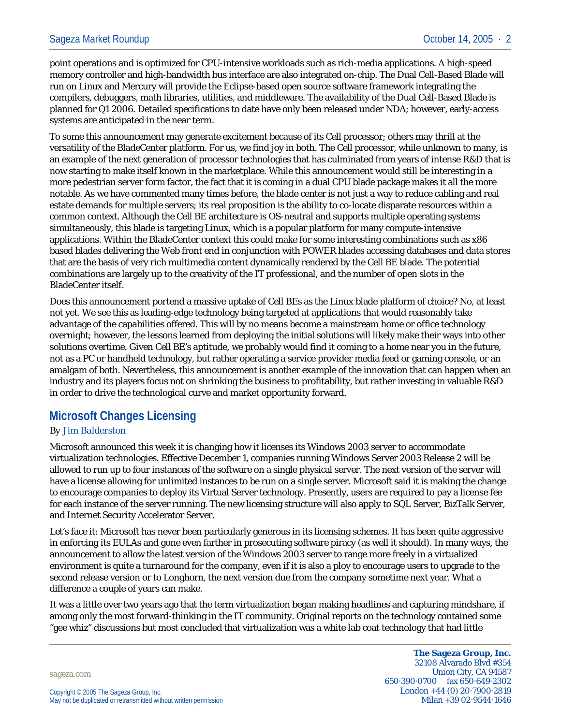point operations and is optimized for CPU-intensive workloads such as rich-media applications. A high-speed memory controller and high-bandwidth bus interface are also integrated on-chip. The Dual Cell-Based Blade will run on Linux and Mercury will provide the Eclipse-based open source software framework integrating the compilers, debuggers, math libraries, utilities, and middleware. The availability of the Dual Cell-Based Blade is planned for Q1 2006. Detailed specifications to date have only been released under NDA; however, early-access systems are anticipated in the near term.

To some this announcement may generate excitement because of its Cell processor; others may thrill at the versatility of the BladeCenter platform. For us, we find joy in both. The Cell processor, while unknown to many, is an example of the next generation of processor technologies that has culminated from years of intense R&D that is now starting to make itself known in the marketplace. While this announcement would still be interesting in a more pedestrian server form factor, the fact that it is coming in a dual CPU blade package makes it all the more notable. As we have commented many times before, the blade center is not just a way to reduce cabling and real estate demands for multiple servers; its real proposition is the ability to co-locate disparate resources within a common context. Although the Cell BE architecture is OS-neutral and supports multiple operating systems simultaneously, this blade is targeting Linux, which is a popular platform for many compute-intensive applications. Within the BladeCenter context this could make for some interesting combinations such as x86 based blades delivering the Web front end in conjunction with POWER blades accessing databases and data stores that are the basis of very rich multimedia content dynamically rendered by the Cell BE blade. The potential combinations are largely up to the creativity of the IT professional, and the number of open slots in the BladeCenter itself.

Does this announcement portend a massive uptake of Cell BEs as the Linux blade platform of choice? No, at least not yet. We see this as leading-edge technology being targeted at applications that would reasonably take advantage of the capabilities offered. This will by no means become a mainstream home or office technology overnight; however, the lessons learned from deploying the initial solutions will likely make their ways into other solutions overtime. Given Cell BE's aptitude, we probably would find it coming to a home near you in the future, not as a PC or handheld technology, but rather operating a service provider media feed or gaming console, or an amalgam of both. Nevertheless, this announcement is another example of the innovation that can happen when an industry and its players focus not on shrinking the business to profitability, but rather investing in valuable R&D in order to drive the technological curve and market opportunity forward.

## **Microsoft Changes Licensing**

#### *By Jim Balderston*

Microsoft announced this week it is changing how it licenses its Windows 2003 server to accommodate virtualization technologies. Effective December 1, companies running Windows Server 2003 Release 2 will be allowed to run up to four instances of the software on a single physical server. The next version of the server will have a license allowing for unlimited instances to be run on a single server. Microsoft said it is making the change to encourage companies to deploy its Virtual Server technology. Presently, users are required to pay a license fee for each instance of the server running. The new licensing structure will also apply to SQL Server, BizTalk Server, and Internet Security Accelerator Server.

Let's face it: Microsoft has never been particularly generous in its licensing schemes. It has been quite aggressive in enforcing its EULAs and gone even farther in prosecuting software piracy (as well it should). In many ways, the announcement to allow the latest version of the Windows 2003 server to range more freely in a virtualized environment is quite a turnaround for the company, even if it is also a ploy to encourage users to upgrade to the second release version or to Longhorn, the next version due from the company sometime next year. What a difference a couple of years can make.

It was a little over two years ago that the term virtualization began making headlines and capturing mindshare, if among only the most forward-thinking in the IT community. Original reports on the technology contained some "gee whiz" discussions but most concluded that virtualization was a white lab coat technology that had little

sageza.com

**The Sageza Group, Inc.** 32108 Alvarado Blvd #354 Union City, CA 94587 650·390·0700 fax 650·649·2302 London +44 (0) 20·7900·2819 Milan +39 02·9544·1646